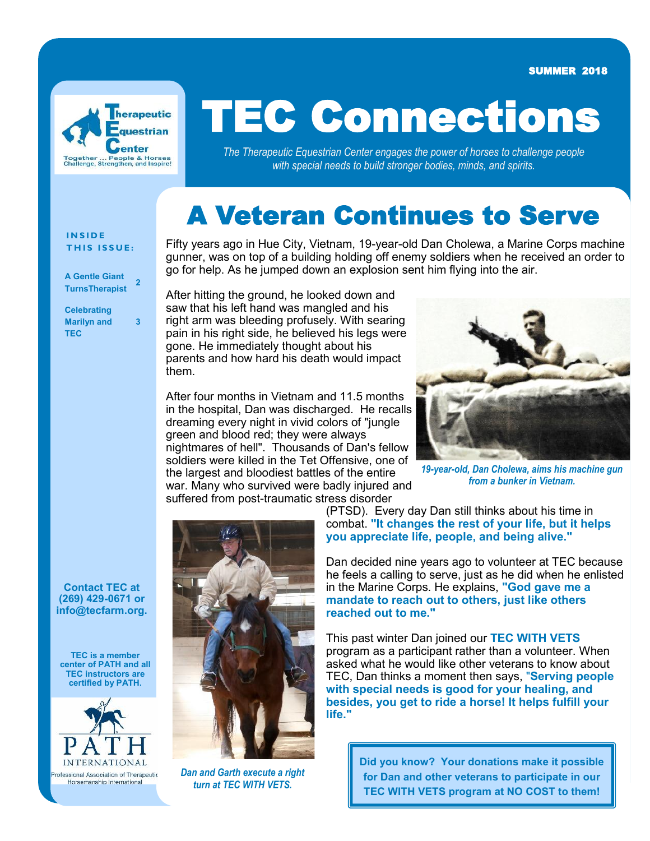SUMMER 2018



# TEC Connections

*The Therapeutic Equestrian Center engages the power of horses to challenge people with special needs to build stronger bodies, minds, and spirits.*

### A Veteran Continues to Serve

#### **I N S I D E THIS ISSUE:**

**A Gentle Giant TurnsTherapist <sup>2</sup>**

**Celebrating Marilyn and TEC**

**3**

Fifty years ago in Hue City, Vietnam, 19-year-old Dan Cholewa, a Marine Corps machine gunner, was on top of a building holding off enemy soldiers when he received an order to go for help. As he jumped down an explosion sent him flying into the air.

After hitting the ground, he looked down and saw that his left hand was mangled and his right arm was bleeding profusely. With searing pain in his right side, he believed his legs were gone. He immediately thought about his parents and how hard his death would impact them.

After four months in Vietnam and 11.5 months in the hospital, Dan was discharged. He recalls dreaming every night in vivid colors of "jungle green and blood red; they were always nightmares of hell". Thousands of Dan's fellow soldiers were killed in the Tet Offensive, one of the largest and bloodiest battles of the entire war. Many who survived were badly injured and suffered from post-traumatic stress disorder



*19-year-old, Dan Cholewa, aims his machine gun from a bunker in Vietnam.*

**Contact TEC at (269) 429-0671 or info@tecfarm.org.**

**TEC is a member center of PATH and all TEC instructors are certified by PATH.**





*Dan and Garth execute a right turn at TEC WITH VETS.*

(PTSD). Every day Dan still thinks about his time in combat. **"It changes the rest of your life, but it helps you appreciate life, people, and being alive."**

Dan decided nine years ago to volunteer at TEC because he feels a calling to serve, just as he did when he enlisted in the Marine Corps. He explains, **"God gave me a mandate to reach out to others, just like others reached out to me."**

This past winter Dan joined our **TEC WITH VETS** program as a participant rather than a volunteer. When asked what he would like other veterans to know about TEC, Dan thinks a moment then says, "**Serving people with special needs is good for your healing, and besides, you get to ride a horse! It helps fulfill your life."**

> **Did you know? Your donations make it possible for Dan and other veterans to participate in our TEC WITH VETS program at NO COST to them!**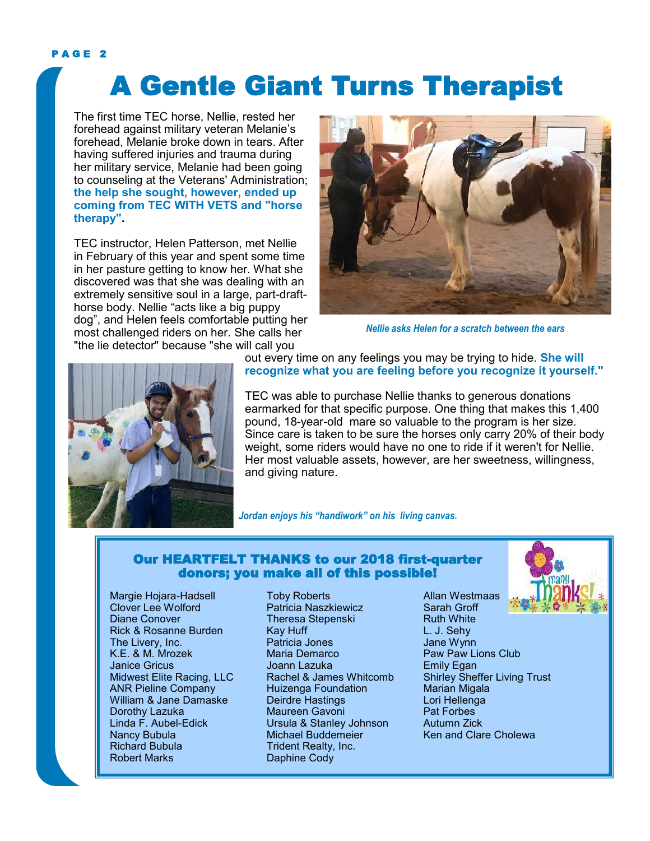#### PAGE<sub>2</sub>

## A Gentle Giant Turns Therapist

The first time TEC horse, Nellie, rested her forehead against military veteran Melanie's forehead, Melanie broke down in tears. After having suffered injuries and trauma during her military service, Melanie had been going to counseling at the Veterans' Administration; **the help she sought, however, ended up coming from TEC WITH VETS and "horse therapy".**

TEC instructor, Helen Patterson, met Nellie in February of this year and spent some time in her pasture getting to know her. What she discovered was that she was dealing with an extremely sensitive soul in a large, part-drafthorse body. Nellie "acts like a big puppy dog", and Helen feels comfortable putting her most challenged riders on her. She calls her "the lie detector" because "she will call you



*Nellie asks Helen for a scratch between the ears*



out every time on any feelings you may be trying to hide. **She will recognize what you are feeling before you recognize it yourself."**

TEC was able to purchase Nellie thanks to generous donations earmarked for that specific purpose. One thing that makes this 1,400 pound, 18-year-old mare so valuable to the program is her size. Since care is taken to be sure the horses only carry 20% of their body weight, some riders would have no one to ride if it weren't for Nellie. Her most valuable assets, however, are her sweetness, willingness. and giving nature.

*Jordan enjoys his "handiwork" on his living canvas.*

#### Our HEARTFELT THANKS to our 2018 first-quarter donors; you make all of this possible!

Margie Hojara-Hadsell Clover Lee Wolford Diane Conover Rick & Rosanne Burden The Livery, Inc. K.E. & M. Mrozek Janice Gricus Midwest Elite Racing, LLC ANR Pieline Company William & Jane Damaske Dorothy Lazuka Linda F. Aubel-Edick Nancy Bubula Richard Bubula Robert Marks

Toby Roberts Patricia Naszkiewicz Theresa Stepenski Kay Huff Patricia Jones Maria Demarco Joann Lazuka Rachel & James Whitcomb Huizenga Foundation Deirdre Hastings Maureen Gavoni Ursula & Stanley Johnson Michael Buddemeier Trident Realty, Inc. Daphine Cody

Allan Westmaas Sarah Groff Ruth White L. J. Sehy Jane Wynn Paw Paw Lions Club Emily Egan Shirley Sheffer Living Trust Marian Migala Lori Hellenga Pat Forbes Autumn Zick Ken and Clare Cholewa

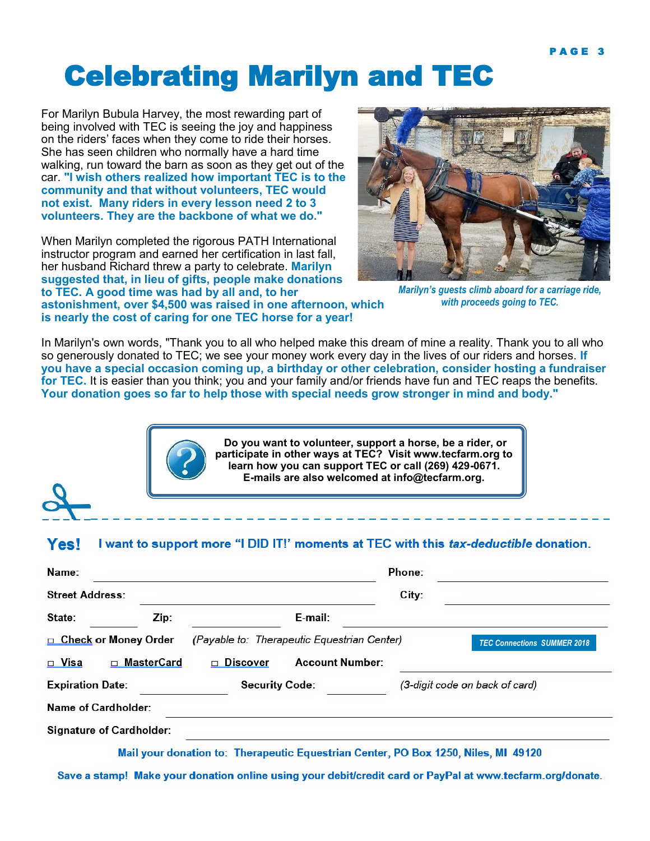### Celebrating Marilyn and TEC

For Marilyn Bubula Harvey, the most rewarding part of being involved with TEC is seeing the joy and happiness on the riders' faces when they come to ride their horses. She has seen children who normally have a hard time walking, run toward the barn as soon as they get out of the car. **"I wish others realized how important TEC is to the community and that without volunteers, TEC would not exist. Many riders in every lesson need 2 to 3 volunteers. They are the backbone of what we do."**

When Marilyn completed the rigorous PATH International instructor program and earned her certification in last fall, her husband Richard threw a party to celebrate. **Marilyn suggested that, in lieu of gifts, people make donations to TEC. A good time was had by all and, to her astonishment, over \$4,500 was raised in one afternoon, which is nearly the cost of caring for one TEC horse for a year!**



*Marilyn's guests climb aboard for a carriage ride, with proceeds going to TEC.*

In Marilyn's own words, "Thank you to all who helped make this dream of mine a reality. Thank you to all who so generously donated to TEC; we see your money work every day in the lives of our riders and horses. **If you have a special occasion coming up, a birthday or other celebration, consider hosting a fundraiser for TEC.** It is easier than you think; you and your family and/or friends have fun and TEC reaps the benefits. **Your donation goes so far to help those with special needs grow stronger in mind and body."**



**Do you want to volunteer, support a horse, be a rider, or participate in other ways at TEC? Visit www.tecfarm.org to learn how you can support TEC or call (269) 429-0671. E-mails are also welcomed at info@tecfarm.org.**

#### **Yes!** I want to support more "I DID IT!' moments at TEC with this tax-deductible donation.

| Name:                   |                                 |                                              | Phone:                             |
|-------------------------|---------------------------------|----------------------------------------------|------------------------------------|
| <b>Street Address:</b>  |                                 |                                              | City:                              |
| State:                  | Zip:                            | E-mail:                                      |                                    |
| □ Check or Money Order  |                                 | (Payable to: Therapeutic Equestrian Center)  | <b>TEC Connections SUMMER 2018</b> |
| □ Visa                  | MasterCard<br>$\Box$            | <b>Account Number:</b><br>Discover<br>$\Box$ |                                    |
| <b>Expiration Date:</b> |                                 | <b>Security Code:</b>                        | (3-digit code on back of card)     |
|                         | Name of Cardholder:             |                                              |                                    |
|                         | <b>Signature of Cardholder:</b> |                                              |                                    |
|                         | ---                             | ---<br>.                                     | ---<br><b>*** *****</b>            |

Mail your donation to: Therapeutic Equestrian Center, PO Box 1250, Niles, MI 49120

Save a stamp! Make your donation online using your debit/credit card or PayPal at www.tecfarm.org/donate.